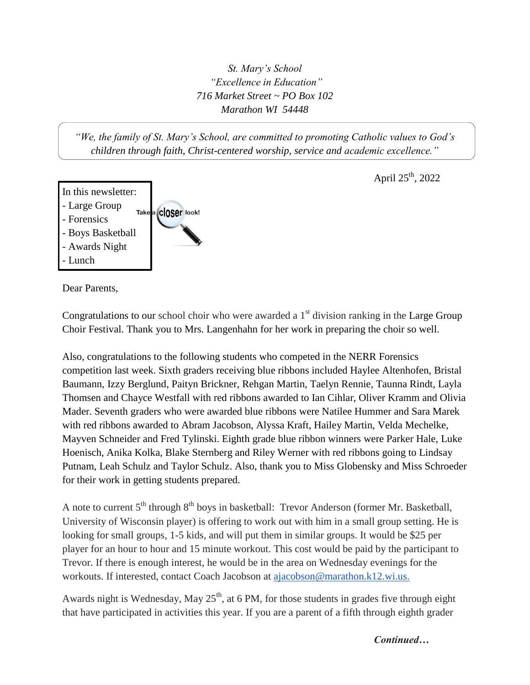*St. Mary's School "Excellence in Education" 716 Market Street ~ PO Box 102 Marathon WI 54448*

*"We, the family of St. Mary's School, are committed to promoting Catholic values to God's children through faith, Christ-centered worship, service and academic excellence."*



April  $25^{th}$ , 2022

Dear Parents,

Congratulations to our school choir who were awarded a  $1<sup>st</sup>$  division ranking in the Large Group Choir Festival. Thank you to Mrs. Langenhahn for her work in preparing the choir so well.

Also, congratulations to the following students who competed in the NERR Forensics competition last week. Sixth graders receiving blue ribbons included Haylee Altenhofen, Bristal Baumann, Izzy Berglund, Paityn Brickner, Rehgan Martin, Taelyn Rennie, Taunna Rindt, Layla Thomsen and Chayce Westfall with red ribbons awarded to Ian Cihlar, Oliver Kramm and Olivia Mader. Seventh graders who were awarded blue ribbons were Natilee Hummer and Sara Marek with red ribbons awarded to Abram Jacobson, Alyssa Kraft, Hailey Martin, Velda Mechelke, Mayven Schneider and Fred Tylinski. Eighth grade blue ribbon winners were Parker Hale, Luke Hoenisch, Anika Kolka, Blake Sternberg and Riley Werner with red ribbons going to Lindsay Putnam, Leah Schulz and Taylor Schulz. Also, thank you to Miss Globensky and Miss Schroeder for their work in getting students prepared.

A note to current  $5<sup>th</sup>$  through  $8<sup>th</sup>$  boys in basketball: Trevor Anderson (former Mr. Basketball, University of Wisconsin player) is offering to work out with him in a small group setting. He is looking for small groups, 1-5 kids, and will put them in similar groups. It would be \$25 per player for an hour to hour and 15 minute workout. This cost would be paid by the participant to Trevor. If there is enough interest, he would be in the area on Wednesday evenings for the workouts. If interested, contact Coach Jacobson at [ajacobson@marathon.k12.wi.us.](mailto:ajacobson@marathon.k12.wi.us)

Awards night is Wednesday, May  $25<sup>th</sup>$ , at 6 PM, for those students in grades five through eight that have participated in activities this year. If you are a parent of a fifth through eighth grader

*Continued…*